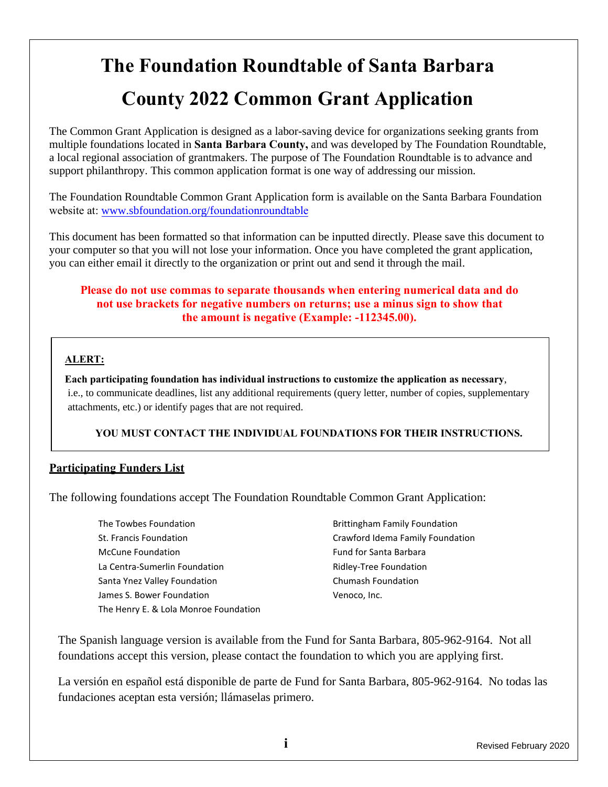# **The Foundation Roundtable of Santa Barbara County 2022 Common Grant Application**

The Common Grant Application is designed as a labor-saving device for organizations seeking grants from multiple foundations located in **Santa Barbara County,** and was developed by The Foundation Roundtable, a local regional association of grantmakers. The purpose of The Foundation Roundtable is to advance and support philanthropy. This common application format is one way of addressing our mission.

The Foundation Roundtable Common Grant Application form is available on the Santa Barbara Foundation website at: [www.sbfoundation.org/f](www.sbfoundation.org/foundationroundtable)oundationroundtable

This document has been formatted so that information can be inputted directly. Please save this document to your computer so that you will not lose your information. Once you have completed the grant application, you can either email it directly to the organization or print out and send it through the mail.

#### **Please do not use commas to separate thousands when entering numerical data and do not use brackets for negative numbers on returns; use a minus sign to show that the amount is negative (Example: -112345.00).**

#### **ALERT:**

**Each participating foundation has individual instructions to customize the application as necessary**, i.e., to communicate deadlines, list any additional requirements (query letter, number of copies, supplementary attachments, etc.) or identify pages that are not required.

#### **YOU MUST CONTACT THE INDIVIDUAL FOUNDATIONS FOR THEIR INSTRUCTIONS.**

#### **Participating Funders List**

The following foundations accept The Foundation Roundtable Common Grant Application:

- The Towbes Foundation St. Francis Foundation McCune Foundation La Centra-Sumerlin Foundation Santa Ynez Valley Foundation James S. Bower Foundation The Henry E. & Lola Monroe Foundation
- Brittingham Family Foundation Crawford Idema Family Foundation Fund for Santa Barbara Ridley-Tree Foundation Chumash Foundation Venoco, Inc.

The Spanish language version is available from the Fund for Santa Barbara, 805-962-9164. Not all foundations accept this version, please contact the foundation to which you are applying first.

La versión en español está disponible de parte de Fund for Santa Barbara, 805-962-9164. No todas las fundaciones aceptan esta versión; llámaselas primero.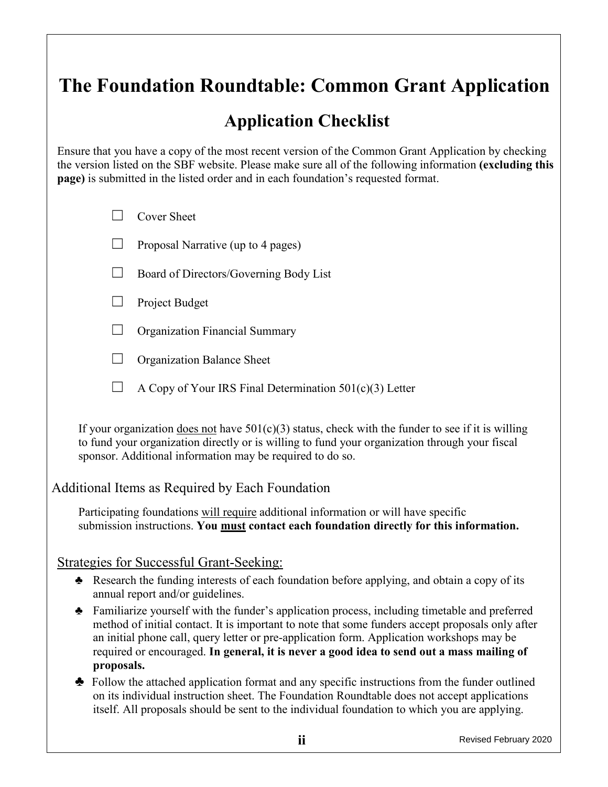| The Foundation Roundtable: Common Grant Application                                                                                                                                                                                                                                                                                                                                                            |
|----------------------------------------------------------------------------------------------------------------------------------------------------------------------------------------------------------------------------------------------------------------------------------------------------------------------------------------------------------------------------------------------------------------|
| <b>Application Checklist</b>                                                                                                                                                                                                                                                                                                                                                                                   |
| Ensure that you have a copy of the most recent version of the Common Grant Application by checking<br>the version listed on the SBF website. Please make sure all of the following information (excluding this<br>page) is submitted in the listed order and in each foundation's requested format.                                                                                                            |
| <b>Cover Sheet</b>                                                                                                                                                                                                                                                                                                                                                                                             |
| Proposal Narrative (up to 4 pages)                                                                                                                                                                                                                                                                                                                                                                             |
| Board of Directors/Governing Body List                                                                                                                                                                                                                                                                                                                                                                         |
| Project Budget                                                                                                                                                                                                                                                                                                                                                                                                 |
| <b>Organization Financial Summary</b>                                                                                                                                                                                                                                                                                                                                                                          |
| <b>Organization Balance Sheet</b>                                                                                                                                                                                                                                                                                                                                                                              |
| A Copy of Your IRS Final Determination $501(c)(3)$ Letter                                                                                                                                                                                                                                                                                                                                                      |
| If your organization <u>does not</u> have $501(c)(3)$ status, check with the funder to see if it is willing<br>to fund your organization directly or is willing to fund your organization through your fiscal<br>sponsor. Additional information may be required to do so.                                                                                                                                     |
| Additional Items as Required by Each Foundation                                                                                                                                                                                                                                                                                                                                                                |
| Participating foundations will require additional information or will have specific<br>submission instructions. You must contact each foundation directly for this information.                                                                                                                                                                                                                                |
| <b>Strategies for Successful Grant-Seeking:</b>                                                                                                                                                                                                                                                                                                                                                                |
| Research the funding interests of each foundation before applying, and obtain a copy of its<br>♣<br>annual report and/or guidelines.                                                                                                                                                                                                                                                                           |
| Familiarize yourself with the funder's application process, including timetable and preferred<br>♣<br>method of initial contact. It is important to note that some funders accept proposals only after<br>an initial phone call, query letter or pre-application form. Application workshops may be<br>required or encouraged. In general, it is never a good idea to send out a mass mailing of<br>proposals. |
| Follow the attached application format and any specific instructions from the funder outlined<br>on its individual instruction sheet. The Foundation Roundtable does not accept applications<br>itself. All proposals should be sent to the individual foundation to which you are applying.                                                                                                                   |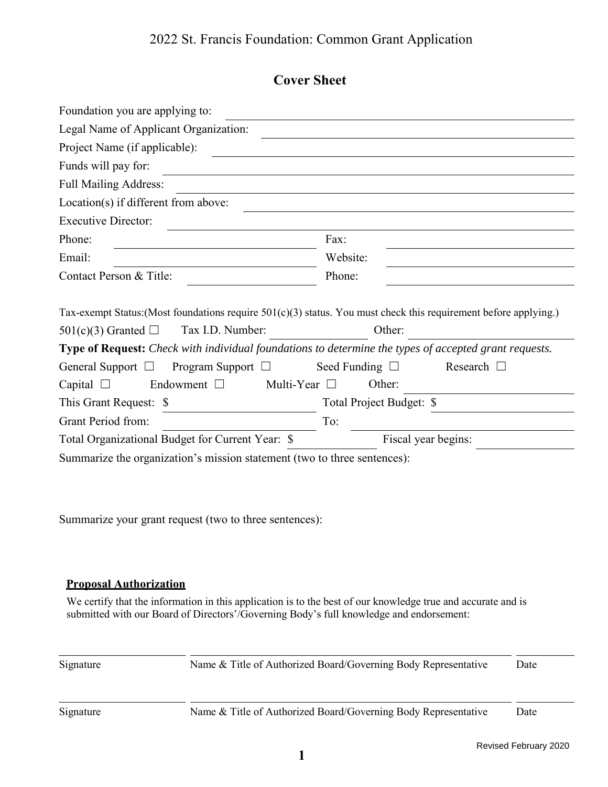| <b>Cover Sheet</b> |  |
|--------------------|--|
|--------------------|--|

| Foundation you are applying to:                                                                                                                                    |                   |                          |                     |
|--------------------------------------------------------------------------------------------------------------------------------------------------------------------|-------------------|--------------------------|---------------------|
| Legal Name of Applicant Organization:                                                                                                                              |                   |                          |                     |
| Project Name (if applicable):                                                                                                                                      |                   |                          |                     |
| Funds will pay for:                                                                                                                                                |                   |                          |                     |
| <b>Full Mailing Address:</b>                                                                                                                                       |                   |                          |                     |
| Location(s) if different from above:                                                                                                                               |                   |                          |                     |
| <b>Executive Director:</b>                                                                                                                                         |                   |                          |                     |
| Phone:                                                                                                                                                             | Fax:              |                          |                     |
| Email:                                                                                                                                                             | Website:          |                          |                     |
| Contact Person & Title:                                                                                                                                            | Phone:            |                          |                     |
| Tax-exempt Status: (Most foundations require $501(c)(3)$ status. You must check this requirement before applying.)<br>Tax I.D. Number:<br>501(c)(3) Granted $\Box$ |                   | Other:                   |                     |
| Type of Request: Check with individual foundations to determine the types of accepted grant requests.                                                              |                   |                          |                     |
| General Support $\Box$<br>Program Support $\Box$                                                                                                                   |                   | Seed Funding $\Box$      | Research $\Box$     |
| Capital $\Box$<br>Endowment $\square$                                                                                                                              | Multi-Year $\Box$ | Other:                   |                     |
| This Grant Request: \$                                                                                                                                             |                   | Total Project Budget: \$ |                     |
| Grant Period from:                                                                                                                                                 | To:               |                          |                     |
| Total Organizational Budget for Current Year: \$                                                                                                                   |                   |                          | Fiscal year begins: |
| Summarize the organization's mission statement (two to three sentences):                                                                                           |                   |                          |                     |

Summarize your grant request (two to three sentences):

#### **Proposal Authorization**

We certify that the information in this application is to the best of our knowledge true and accurate and is submitted with our Board of Directors'/Governing Body's full knowledge and endorsement:

Signature Name & Title of Authorized Board/Governing Body Representative Date

Signature Name & Title of Authorized Board/Governing Body Representative Date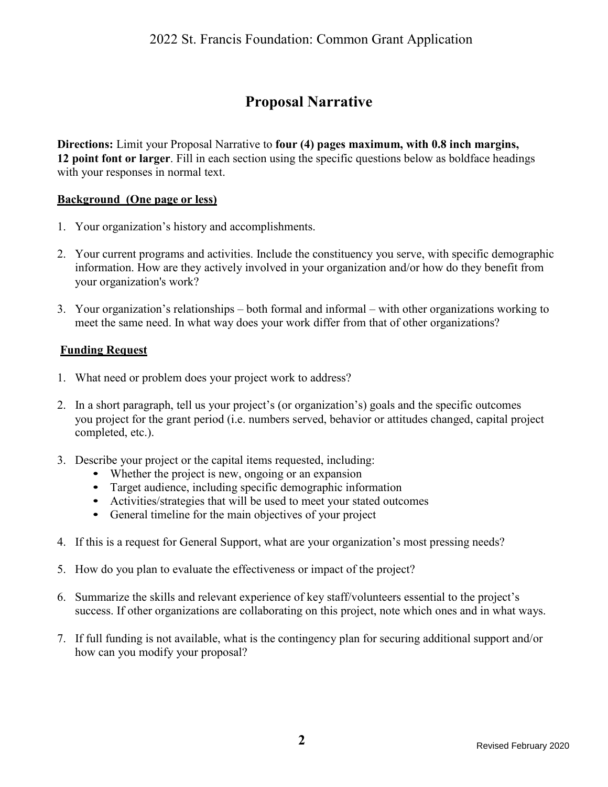## **Proposal Narrative**

**Directions:** Limit your Proposal Narrative to **four (4) pages maximum, with 0.8 inch margins, 12 point font or larger**. Fill in each section using the specific questions below as boldface headings with your responses in normal text.

#### **Background (One page or less)**

- 1. Your organization's history and accomplishments.
- 2. Your current programs and activities. Include the constituency you serve, with specific demographic information. How are they actively involved in your organization and/or how do they benefit from your organization's work?
- 3. Your organization's relationships both formal and informal with other organizations working to meet the same need. In what way does your work differ from that of other organizations?

#### **Funding Request**

- 1. What need or problem does your project work to address?
- 2. In a short paragraph, tell us your project's (or organization's) goals and the specific outcomes you project for the grant period (i.e. numbers served, behavior or attitudes changed, capital project completed, etc.).
- 3. Describe your project or the capital items requested, including:
	- Whether the project is new, ongoing or an expansion
	- Target audience, including specific demographic information
	- Activities/strategies that will be used to meet your stated outcomes
	- General timeline for the main objectives of your project
- 4. If this is a request for General Support, what are your organization's most pressing needs?
- 5. How do you plan to evaluate the effectiveness or impact of the project?
- 6. Summarize the skills and relevant experience of key staff/volunteers essential to the project's success. If other organizations are collaborating on this project, note which ones and in what ways.
- 7. If full funding is not available, what is the contingency plan for securing additional support and/or how can you modify your proposal?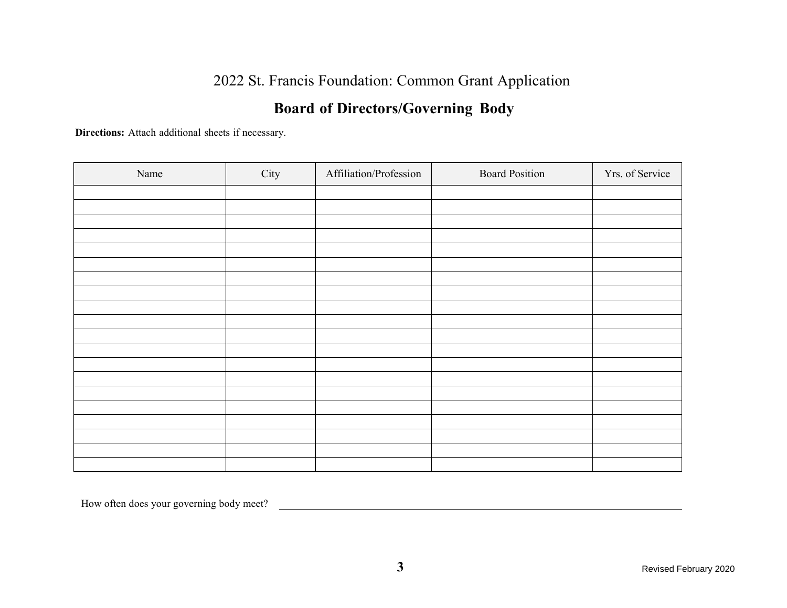# **Board of Directors/Governing Body**

**Directions:** Attach additional sheets if necessary.

| Name | City | Affiliation/Profession | <b>Board Position</b> | Yrs. of Service |
|------|------|------------------------|-----------------------|-----------------|
|      |      |                        |                       |                 |
|      |      |                        |                       |                 |
|      |      |                        |                       |                 |
|      |      |                        |                       |                 |
|      |      |                        |                       |                 |
|      |      |                        |                       |                 |
|      |      |                        |                       |                 |
|      |      |                        |                       |                 |
|      |      |                        |                       |                 |
|      |      |                        |                       |                 |
|      |      |                        |                       |                 |
|      |      |                        |                       |                 |
|      |      |                        |                       |                 |
|      |      |                        |                       |                 |
|      |      |                        |                       |                 |
|      |      |                        |                       |                 |
|      |      |                        |                       |                 |
|      |      |                        |                       |                 |
|      |      |                        |                       |                 |
|      |      |                        |                       |                 |

How often does your governing body meet?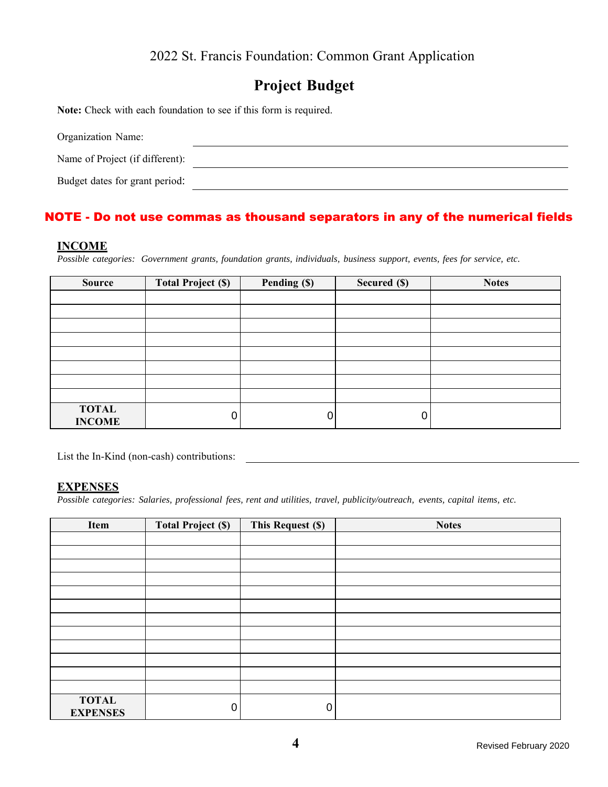## **Project Budget**

**Note:** Check with each foundation to see if this form is required.

| Organization Name:              |  |
|---------------------------------|--|
| Name of Project (if different): |  |
| Budget dates for grant period:  |  |

#### NOTE - Do not use commas as thousand separators in any of the numerical fields

#### **INCOME**

*Possible categories: Government grants, foundation grants, individuals, business support, events, fees for service, etc.*

| <b>Source</b>                 | <b>Total Project (\$)</b> | Pending (\$) | Secured (\$) | <b>Notes</b> |
|-------------------------------|---------------------------|--------------|--------------|--------------|
|                               |                           |              |              |              |
|                               |                           |              |              |              |
|                               |                           |              |              |              |
|                               |                           |              |              |              |
|                               |                           |              |              |              |
|                               |                           |              |              |              |
|                               |                           |              |              |              |
|                               |                           |              |              |              |
| <b>TOTAL</b><br><b>INCOME</b> |                           |              | 0            |              |

List the In-Kind (non-cash) contributions:

#### **EXPENSES**

*Possible categories: Salaries, professional fees, rent and utilities, travel, publicity/outreach, events, capital items, etc.*

| Item                            | <b>Total Project (\$)</b> | This Request (\$) | <b>Notes</b> |
|---------------------------------|---------------------------|-------------------|--------------|
|                                 |                           |                   |              |
|                                 |                           |                   |              |
|                                 |                           |                   |              |
|                                 |                           |                   |              |
|                                 |                           |                   |              |
|                                 |                           |                   |              |
|                                 |                           |                   |              |
|                                 |                           |                   |              |
|                                 |                           |                   |              |
|                                 |                           |                   |              |
|                                 |                           |                   |              |
|                                 |                           |                   |              |
| <b>TOTAL</b><br><b>EXPENSES</b> | 0                         | ſ                 |              |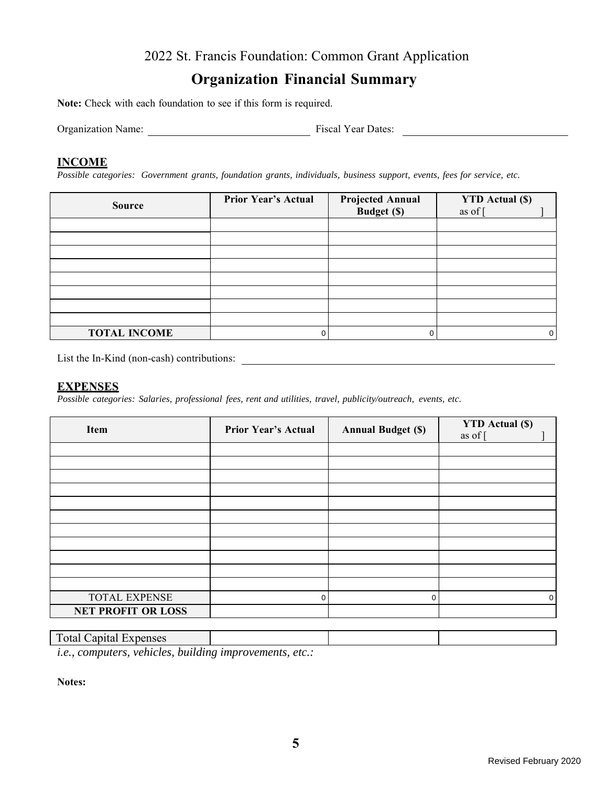## **Organization Financial Summary**

**Note:** Check with each foundation to see if this form is required.

Organization Name: Fiscal Year Dates: Fiscal Year Dates:

#### **INCOME**

*Possible categories: Government grants, foundation grants, individuals, business support, events, fees for service, etc.*

| <b>Source</b>       | <b>Prior Year's Actual</b> | <b>Projected Annual</b><br><b>Budget</b> (\$) | <b>YTD</b> Actual (\$)<br>as of [ |
|---------------------|----------------------------|-----------------------------------------------|-----------------------------------|
|                     |                            |                                               |                                   |
|                     |                            |                                               |                                   |
|                     |                            |                                               |                                   |
|                     |                            |                                               |                                   |
|                     |                            |                                               |                                   |
|                     |                            |                                               |                                   |
|                     |                            |                                               |                                   |
|                     |                            |                                               |                                   |
| <b>TOTAL INCOME</b> |                            |                                               | $\mathbf 0$                       |

List the In-Kind (non-cash) contributions:

#### **EXPENSES**

*Possible categories: Salaries, professional fees, rent and utilities, travel, publicity/outreach, events, etc.*

| Item                      | <b>Prior Year's Actual</b> | <b>Annual Budget (\$)</b> | <b>YTD</b> Actual (\$)<br>as of [ |
|---------------------------|----------------------------|---------------------------|-----------------------------------|
|                           |                            |                           |                                   |
|                           |                            |                           |                                   |
|                           |                            |                           |                                   |
|                           |                            |                           |                                   |
|                           |                            |                           |                                   |
|                           |                            |                           |                                   |
|                           |                            |                           |                                   |
|                           |                            |                           |                                   |
|                           |                            |                           |                                   |
|                           |                            |                           |                                   |
|                           |                            |                           |                                   |
| TOTAL EXPENSE             | 0                          | 0                         | $\mathbf 0$                       |
| <b>NET PROFIT OR LOSS</b> |                            |                           |                                   |

#### Total Capital Expenses

*i.e., computers, vehicles, building improvements, etc.:*

**Notes:**